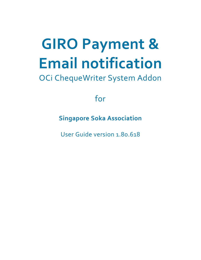# **GIRO Payment & Email notification**

## OCi ChequeWriter System Addon

for

**Singapore Soka Association**

User Guide version 1.80.618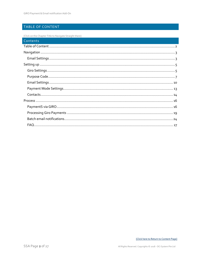#### <span id="page-1-0"></span>TABLE OF CONTENT

[Click on the Chapter Title to Navigate Straight there]

| Contents |
|----------|
|          |
|          |
|          |
|          |
|          |
|          |
|          |
|          |
|          |
|          |
|          |
|          |
|          |
|          |
|          |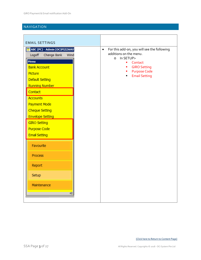#### <span id="page-2-0"></span>NAVIGATION

<span id="page-2-1"></span>

| <b>EMAIL SETTINGS</b>                                                                                                                                                                                                                                                                                                 |                                                                                                                                                                                                                           |
|-----------------------------------------------------------------------------------------------------------------------------------------------------------------------------------------------------------------------------------------------------------------------------------------------------------------------|---------------------------------------------------------------------------------------------------------------------------------------------------------------------------------------------------------------------------|
| ABC (PC) - Admin [OCIPIZZAHU]<br>Change Bank<br>Logoff<br>Wind<br>Menu<br><b>Bank Account</b><br>Picture<br>Default Setting<br><b>Running Number</b><br>Contact<br><b>Accounts</b><br>Payment Mode<br><b>Cheque Setting</b><br><b>Envelope Setting</b><br><b>GIRO Setting</b><br>Purpose Code<br><b>Email Setting</b> | For this add-on, you will see the following<br>$\bullet$<br>additions on the menu.<br>In SETUP><br>$\circ$<br>Contact<br>a,<br><b>GIRO Setting</b><br>a,<br><b>Purpose Code</b><br><b>Email Setting</b><br>$\blacksquare$ |
| Favourite                                                                                                                                                                                                                                                                                                             |                                                                                                                                                                                                                           |
| <b>Process</b>                                                                                                                                                                                                                                                                                                        |                                                                                                                                                                                                                           |
| Report                                                                                                                                                                                                                                                                                                                |                                                                                                                                                                                                                           |
| Setup                                                                                                                                                                                                                                                                                                                 |                                                                                                                                                                                                                           |
| Maintenance<br>IE.                                                                                                                                                                                                                                                                                                    |                                                                                                                                                                                                                           |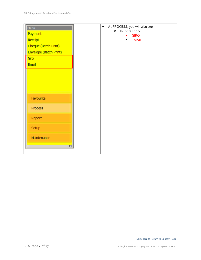| Menu<br>Payment<br>Receipt<br>Cheque (Batch Print)<br>Envelope (Batch Print)<br>Giro<br>Email | $\bullet$ | At PROCESS, you will also see<br>In PROCESS><br>$\circ$<br><b>GIRO</b><br>ш<br><b>EMAIL</b><br>$\blacksquare$ |  |
|-----------------------------------------------------------------------------------------------|-----------|---------------------------------------------------------------------------------------------------------------|--|
| <br>Favourite                                                                                 |           |                                                                                                               |  |
| Process                                                                                       |           |                                                                                                               |  |
| Report                                                                                        |           |                                                                                                               |  |
| Setup                                                                                         |           |                                                                                                               |  |
| Maintenance                                                                                   |           |                                                                                                               |  |
| $\overline{P}$                                                                                |           |                                                                                                               |  |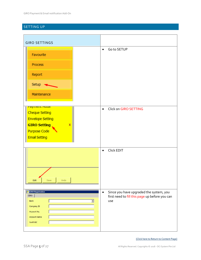### <span id="page-4-0"></span>SETTING UP

<span id="page-4-1"></span>

| <b>GIRO SETTINGS</b>                                                                                                                              |                                                                                                               |
|---------------------------------------------------------------------------------------------------------------------------------------------------|---------------------------------------------------------------------------------------------------------------|
| Favourite<br>Process<br>Report<br>Setup<br>Maintenance                                                                                            | Go to SETUP<br>$\bullet$                                                                                      |
| <mark>гаушсці точс</mark><br><b>Cheque Setting</b><br><b>Envelope Setting</b><br><b>GIRO Setting</b><br>×<br>Purpose Code<br><b>Email Setting</b> | Click on GIRO SETTING<br>$\bullet$                                                                            |
| Edit<br>Undo<br>Save                                                                                                                              | Click EDIT<br>$\bullet$                                                                                       |
| <b>GIRO Registration</b><br><b>GIRO</b><br>$\blacktriangleright$<br><b>Bank</b><br>Company ID<br>Account No.<br><b>Account Name</b><br>Swift BIC  | Since you have upgraded the system, you<br>$\bullet$<br>first need to fill this page up before you can<br>use |

#### [\[Click here to Return to Content Page\]](#page-1-0)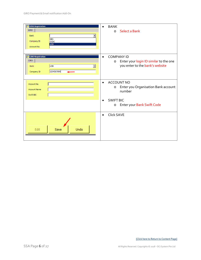| <b>GIRO Registration</b><br><b>GIRO</b><br><b>Bank</b><br><b>DBS</b><br>Company ID<br><b>OCBC</b><br><b>UOB</b><br>Account No. | <b>BANK</b><br>Select a Bank<br>$\circ$                                                                                                                              |
|--------------------------------------------------------------------------------------------------------------------------------|----------------------------------------------------------------------------------------------------------------------------------------------------------------------|
| <b>GIRO Registration</b><br><b>GIRO</b><br><b>UOB</b><br>$\overline{\phantom{a}}$<br><b>Bank</b><br>1234567890<br>Company ID   | <b>COMPANY ID</b><br>$\bullet$<br>Enter your login ID similar to the one<br>$\circ$<br>you enter to the bank's website                                               |
| Account No.<br><b>Account Name</b><br>Swift BIC                                                                                | <b>ACCOUNT NO</b><br>$\bullet$<br>Enter you Organisation Bank account<br>$\circ$<br>number<br><b>SWIFT BIC</b><br>$\bullet$<br>Enter your Bank Swift Code<br>$\circ$ |
| Edit<br>Undo<br>Save                                                                                                           | <b>Click SAVE</b><br>$\bullet$                                                                                                                                       |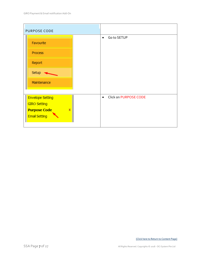<span id="page-6-0"></span>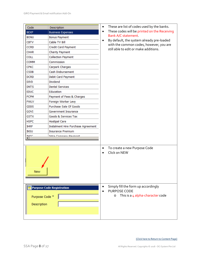| Code                                                              | Description                        | $\bullet$                                                                   | These are list of codes used by the banks.                                                                  |
|-------------------------------------------------------------------|------------------------------------|-----------------------------------------------------------------------------|-------------------------------------------------------------------------------------------------------------|
| <b>BEXP</b>                                                       | <b>Business Expenses</b>           | $\bullet$                                                                   | These codes will be printed on the Receiving                                                                |
| <b>BONU</b>                                                       | <b>Bonus Payment</b>               | Bank A/C statement.<br>$\bullet$<br>with the common codes, however, you are |                                                                                                             |
| <b>CBTV</b>                                                       | Cable TV Bill                      |                                                                             | By default, the system already pre-loaded                                                                   |
| <b>CCRD</b>                                                       | Credit Card Payment                |                                                                             |                                                                                                             |
| <b>CHAR</b>                                                       | <b>Charity Payment</b>             |                                                                             | still able to edit or make additions.                                                                       |
| <b>COLL</b>                                                       | <b>Collection Payment</b>          |                                                                             |                                                                                                             |
| COMM                                                              | Commission                         |                                                                             |                                                                                                             |
| <b>CPKC</b>                                                       | Carpark Charges                    |                                                                             |                                                                                                             |
| <b>CSDB</b>                                                       | Cash Disbursement                  |                                                                             |                                                                                                             |
| <b>DCRD</b>                                                       | Debit Card Payment                 |                                                                             |                                                                                                             |
| <b>DIVD</b>                                                       | Dividend                           |                                                                             |                                                                                                             |
| <b>DNTS</b>                                                       | <b>Dental Services</b>             |                                                                             |                                                                                                             |
| <b>EDUC</b>                                                       | <b>Education</b>                   |                                                                             |                                                                                                             |
| <b>FCPM</b>                                                       | Payment of Fees & Charges          |                                                                             |                                                                                                             |
| <b>FWLV</b>                                                       | Foreign Worker Levy                |                                                                             |                                                                                                             |
| GDDS                                                              | Purchase Sale Of Goods             |                                                                             |                                                                                                             |
| GOVI                                                              | Government Insurance               |                                                                             |                                                                                                             |
| <b>GSTX</b>                                                       | Goods & Services Tax               |                                                                             |                                                                                                             |
| <b>HSPC</b>                                                       | <b>Hostipal Care</b>               |                                                                             |                                                                                                             |
| <b>IHRP</b>                                                       | Instalment Hire Purchase Agreement |                                                                             |                                                                                                             |
| <b>INSU</b>                                                       | <b>Insurance Premium</b>           |                                                                             |                                                                                                             |
| <b>INTC</b>                                                       | <b>Intra Comnany Daymont</b>       |                                                                             |                                                                                                             |
|                                                                   |                                    |                                                                             |                                                                                                             |
| New                                                               |                                    | $\bullet$                                                                   | To create a new Purpose Code<br>Click on NEW                                                                |
| <b>Purpose Code Registration</b><br>Purpose Code *<br>Description |                                    | $\bullet$                                                                   | Simply fill the form up accordingly<br><b>PURPOSE CODE</b><br>This is a $4$ alpha-character code<br>$\circ$ |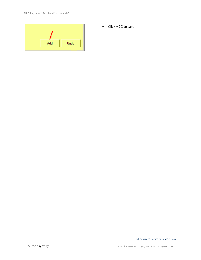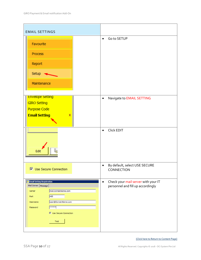<span id="page-9-0"></span>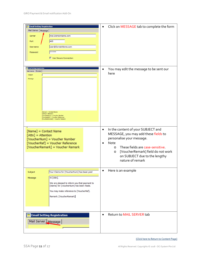| <b>Email Setting Registration</b><br>Mail Server   Message  <br>mail.DomainName.com<br>Server<br>465<br>Port<br>user@DomainName.com<br>Username<br>*****<br>Password<br>$\triangleright$ Use Secure Connection                                 | Click on MESSAGE tab to complete the form<br>$\bullet$                                                                                                                                                                                                                           |
|------------------------------------------------------------------------------------------------------------------------------------------------------------------------------------------------------------------------------------------------|----------------------------------------------------------------------------------------------------------------------------------------------------------------------------------------------------------------------------------------------------------------------------------|
| <b>Email Setting Registration</b><br>Mail Server Message<br>Subject<br>Message<br>[Name] = Contact Name<br>[Attn] = Attention<br>[VoucherNum] = Voucher Number<br>[VoucherRef] = Voucher Reference<br>[VoucherRemark] = Voucher Remark         | You may edit the message to be sent our<br>$\bullet$<br>here                                                                                                                                                                                                                     |
| [Name] = Contact Name<br>[Attn] = Attention<br>[VoucherNum] = Voucher Number<br>[VoucherRef] = Voucher Reference<br>[VoucherRemark] = Voucher Remark                                                                                           | In the content of your SUBJECT and<br>$\bullet$<br>MESSAGE, you may add these fields to<br>personalise your message.<br>Note<br>These fields are case-sensitive.<br>$\circ$<br>[VoucherRemark] field do not work<br>$\circ$<br>on SUBJECT due to the lengthy<br>nature of remark |
| Your Claims for [VoucherNum] has been paid<br>Subject<br>Hi [Attn],<br>Message<br>We are pleased to inform you that payment to<br>[Name] for [VoucherNum] has been made.<br>You may make reference to [VoucherRef].<br>Remark: [VoucherRemark] | Here is an example                                                                                                                                                                                                                                                               |
| <b>Email Setting Registration</b><br>Mail Server Message                                                                                                                                                                                       | Return to MAIL SERVER tab<br>$\bullet$                                                                                                                                                                                                                                           |

[\[Click here to Return to Content Page\]](#page-1-0)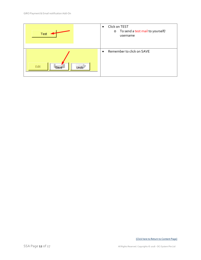| Test                        | Click on TEST<br>$\bullet$<br>To send a test mail to yourself/<br>$\circ$<br>username |
|-----------------------------|---------------------------------------------------------------------------------------|
| Edit<br><b>Undo</b><br>Save | Remember to click on SAVE<br>$\bullet$                                                |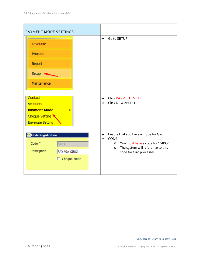<span id="page-12-0"></span>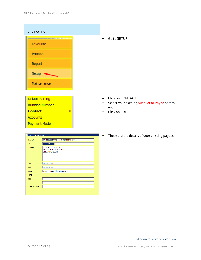<span id="page-13-0"></span>

| <b>CONTACTS</b>                                                                                       |                                                                                                                                                                                                                      |                                                                                                                                  |
|-------------------------------------------------------------------------------------------------------|----------------------------------------------------------------------------------------------------------------------------------------------------------------------------------------------------------------------|----------------------------------------------------------------------------------------------------------------------------------|
| Favourite                                                                                             | ,,,,,,,,,,,,,,,,,,,,,,,,,,,                                                                                                                                                                                          | Go to SETUP<br>$\bullet$                                                                                                         |
| Process                                                                                               |                                                                                                                                                                                                                      |                                                                                                                                  |
| Report                                                                                                |                                                                                                                                                                                                                      |                                                                                                                                  |
| Setup                                                                                                 |                                                                                                                                                                                                                      |                                                                                                                                  |
|                                                                                                       | Maintenance                                                                                                                                                                                                          |                                                                                                                                  |
| Default Setting<br><b>Running Number</b><br><b>Contact</b><br><b>Accounts</b><br>Payment Mode         | x                                                                                                                                                                                                                    | Click on CONTACT<br>$\bullet$<br>Select your existing Supplier or Payee names<br>$\bullet$<br>and,<br>Click on EDIT<br>$\bullet$ |
| <b>Contact Registration</b><br>Name *<br>Attn<br>Address<br>Tel<br>Fax<br>Email<br>GIRO<br><b>BIC</b> | "K" LINE LOGISTICS (SINGAPORE) PTE LTD<br><b>ACCOUNT DEPT</b><br>3 CHANGI SOUTH STREET 2<br>XILIN DISTRICENTRE BUILDING A<br>SINGAPORE 486548<br>65 6542 9919<br>65 6542 6551<br>siti-sabariah@sg.klinelogistics.com | These are the details of your existing payees<br>$\bullet$                                                                       |
| Account No.<br><b>Account Name</b>                                                                    |                                                                                                                                                                                                                      |                                                                                                                                  |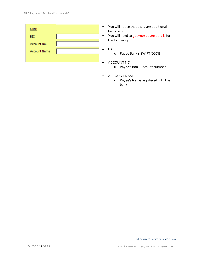| GIRO                | You will notice that there are additional<br>$\bullet$<br>fields to fill |
|---------------------|--------------------------------------------------------------------------|
| <b>BIC</b>          | You will need to get your payee details for<br>٠<br>the following        |
| Account No.         |                                                                          |
| <b>Account Name</b> | <b>BIC</b><br>Payee Bank's SWIFT CODE<br>$\circ$                         |
|                     | <b>ACCOUNT NO</b>                                                        |
|                     | Payee's Bank Account Number<br>$\circ$                                   |
|                     | <b>ACCOUNT NAME</b>                                                      |
|                     | Payee's Name registered with the<br>$\circ$<br>bank                      |
|                     |                                                                          |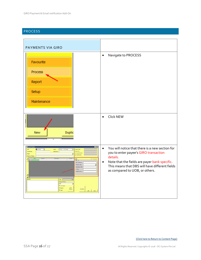#### <span id="page-15-0"></span>PROCESS

<span id="page-15-1"></span>

| PAYMENTS VIA GIRO                                                                                                                                                                                                                                                                                                                                                                                                                                                                                  |                                                                                                                                                                                                                                                                     |
|----------------------------------------------------------------------------------------------------------------------------------------------------------------------------------------------------------------------------------------------------------------------------------------------------------------------------------------------------------------------------------------------------------------------------------------------------------------------------------------------------|---------------------------------------------------------------------------------------------------------------------------------------------------------------------------------------------------------------------------------------------------------------------|
| Favourite<br>Process<br>Report<br>Setup<br>Maintenance                                                                                                                                                                                                                                                                                                                                                                                                                                             | Navigate to PROCESS<br>$\bullet$                                                                                                                                                                                                                                    |
| <b>Duplic</b><br><b>New</b>                                                                                                                                                                                                                                                                                                                                                                                                                                                                        | Click NEW<br>$\bullet$                                                                                                                                                                                                                                              |
| <b>BEER</b><br>206/2018<br>国<br>OHIGUE - Via Cheq<br><b>Created Date</b><br>Mode<br>₫<br>Cata<br>Created By<br><b>Reference</b><br>Voucher No<br>est Updated Date<br>Fayee<br>aut Updated By<br><b>Fayee on Cheque</b><br>베<br>E<br>GB0<br>UOB  <br>$\mathbf{J}^{\mathbb{R}}$<br>End To End ID<br>Purpose Code<br>ce bdo<br><b>U.Paver</b><br>Lustomer Hef<br>쇠<br>피고<br>Remarks<br>Total:<br><b>Cheque Prix</b><br>UOB<br>∃<br><b>P ACPENEE</b><br><b>P</b> Bearer<br>Print<br>Cheque<br>$F$ Cate | You will notice that there is a new section for<br>$\bullet$<br>you to enter payee's GIRO transaction<br>details.<br>Note that the fields are payer bank specific.<br>$\bullet$<br>This means that DBS will have different fields<br>as compared to UOB, or others. |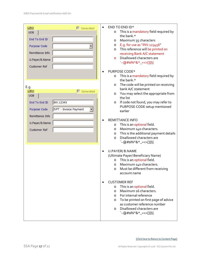| GIRO<br>$\Box$ Generated                      | $\bullet$ | END TO END ID*                                    |
|-----------------------------------------------|-----------|---------------------------------------------------|
| <b>UOB</b>                                    |           | This is a mandatory field required by<br>O        |
|                                               |           | the bank.*                                        |
| End To End ID                                 |           | Maximum 35 characters<br>O                        |
| Purpose Code                                  |           | E.g. for use as "INV.123456"<br>$\circ$           |
|                                               |           | This reference will be printed on<br>$\circ$      |
| Remittance Info                               |           | receiving Bank A/C statement                      |
| U.Payer/B.Name                                |           | Disallowed characters are<br>$\circ$              |
|                                               |           | `~@#\$%^&*_=<>[]{}\                               |
| <b>Customer Ref</b>                           |           |                                                   |
|                                               | $\bullet$ | PURPOSE CODE*                                     |
|                                               |           | This is a mandatory field required by<br>$\circ$  |
|                                               |           | the bank.*                                        |
|                                               |           | The code will be printed on receiving<br>O        |
| E.g.<br>GIRO<br>$\Box$ Generated              |           | bank A/C statement                                |
| <b>UOB</b>                                    |           | You may select the appropriate from<br>O          |
|                                               |           | the list                                          |
| End To End ID<br>INV.12345                    |           | If code not found, you may refer to<br>$\circ$    |
| <b>IVPT - Invoice Payment</b><br>Purpose Code |           | PURPOSE CODE setup mentioned                      |
|                                               |           | earlier                                           |
| Remittance Info                               |           |                                                   |
|                                               |           | <b>REMITTANCE INFO</b>                            |
| U.Payer/B.Name                                |           | This is an optional field.<br>O                   |
| <b>Customer Ref</b>                           |           | Maximum 140 characters.<br>$\circ$                |
|                                               |           | This is the additional payment details<br>$\circ$ |
|                                               |           | Disallowed characters are<br>$\circ$              |
|                                               |           | `~@#\$%^&*_=<>[]{}\                               |
|                                               |           |                                                   |
|                                               | $\bullet$ | U.PAYER/B.NAME                                    |
|                                               |           | (Ultimate Payer/ Beneficiary Name)                |
|                                               |           | This is an optional field.<br>O                   |
|                                               |           | Maximum 140 characters.<br>O                      |
|                                               |           | Must be different from receiving<br>$\circ$       |
|                                               |           | account name                                      |
|                                               |           |                                                   |
|                                               |           | <b>CUSTOMER REF</b>                               |
|                                               |           | This is an optional field.<br>O                   |
|                                               |           | Maximum 16 characters.<br>$\circ$                 |
|                                               |           | For internal reference<br>$\circ$                 |
|                                               |           | To be printed on first page of advice<br>$\circ$  |
|                                               |           | as customer reference number                      |
|                                               |           | Disallowed characters are<br>$\circ$              |
|                                               |           | `~@#\$%^&*_=<>[]{}\                               |
|                                               |           |                                                   |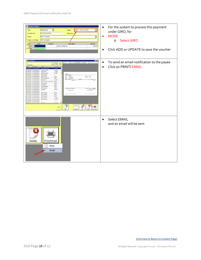| <b>Payment Voucher</b><br>$\overline{\phantom{a}}$<br>30/05/2018<br>$\overline{\phantom{a}}$<br><b>GIRO - PAY VIA GIRO</b><br>Date<br>Mode<br>PV/010/05/2018<br>Voucher No.<br>Reference<br><b>ABC Company</b><br>$\vert \cdot \vert$<br>Payee<br><b>ABC Company</b><br>Payee on Cheque<br>S/No<br>Account<br>Description<br>Amount<br>$^{\mathrm{+}}$<br>service rendered<br>500.00<br>Ξ<br>*                                                                                                                                                                                                                                                                                                                                                                                                                                                                                                                                                                                                                                                                                                                                                                                                                                                                                                                                                                                                                                                                                                                                                   | For the system to process this payment<br>$\bullet$<br>under GIRO, for<br><b>MODE</b><br><b>Select GIRO</b><br>$\circ$<br>Click ADD or UPDATE to save the voucher<br>$\bullet$ |
|--------------------------------------------------------------------------------------------------------------------------------------------------------------------------------------------------------------------------------------------------------------------------------------------------------------------------------------------------------------------------------------------------------------------------------------------------------------------------------------------------------------------------------------------------------------------------------------------------------------------------------------------------------------------------------------------------------------------------------------------------------------------------------------------------------------------------------------------------------------------------------------------------------------------------------------------------------------------------------------------------------------------------------------------------------------------------------------------------------------------------------------------------------------------------------------------------------------------------------------------------------------------------------------------------------------------------------------------------------------------------------------------------------------------------------------------------------------------------------------------------------------------------------------------------|--------------------------------------------------------------------------------------------------------------------------------------------------------------------------------|
| <b>IFIR</b><br>of 1 > H (dù CJ let - ) Page 70005<br>$-1 - 1$<br>333<br>Advance Search<br>Dete <sup></sup><br>Reference<br>Document<br>6/06/2018<br>111230<br>31/06/2018 Pu/032/06/2018<br>111224<br>bep runs pte itd<br>31,06/2018 PV/031/06/2018<br>iddlil pte ltd.<br>111222<br>234300<br>91/06/2010 Phyl009/05/2018<br>jidsborfc pte hd<br><b>ABC/PC</b><br>30,05/2018 PV/010,05/2018<br>payment vouche<br>ABC Company<br>Cm 0000201<br>Viene Procedures<br>8105/2018 PUVOS 05/2018<br>2342<br>jidsbc pto bd<br>15/05/2018 Pu/037/05/2018<br>th trease to<br>bep n crico pte ltd.<br>2341<br>Pa me<br>SHI Hart I wanted<br>$1 - kna$<br>38/05/2018 Pu/036/05/2018<br>111222<br>jkfsh pte ltd.<br>33/05/2018 Pu/035/05/2018<br>TKWSS - Blue Cruss Thong.<br>0210<br>33/05/2018 PV/033/05/2018<br>ABC Company<br>0208<br>93/05/2010 PV/092/05/2010<br>abodefg xyz<br>6207<br>32,05/2818 Ph/031/05/2818<br>crico little pte ltd<br>0206<br>23/04/2018 PU010/04/2018<br>0112<br><b>ABC Company</b><br><b>Singace Crisis O's Frouset</b><br>1,001.00<br>20/04/2018 Pv/038/04/2018<br>000123<br>abodeficy<br><b>Furnal Notice In</b><br>18/04/2018 PV/020/04/2018<br>20/03/2018 PV/033/03/2018<br>ABC Company<br>0100<br>37/03/2018 PV/032/03/2018<br>0099<br>ABC Company<br>97/03/2018 Pv/051/03/2018<br>6099<br><b>ABC Company</b><br>31/01/2018 PV/014/01/2018<br>ABC Company<br>111333<br>23/01/2010 PV/013/01/2010<br>ABC Company<br>111332<br>18/01/2018 PV/012/01/2018<br>spacrace.<br>BANNA 6 Vita Phintip<br>111331<br>9<br><b>Import</b> | To send an email notification to the payee<br>$\bullet$<br>Click on PRINT/EMAIL<br>$\bullet$                                                                                   |
| <b>Delete</b><br>Print/Email<br>Print<br>Email                                                                                                                                                                                                                                                                                                                                                                                                                                                                                                                                                                                                                                                                                                                                                                                                                                                                                                                                                                                                                                                                                                                                                                                                                                                                                                                                                                                                                                                                                                   | <b>Select EMAIL</b><br>$\bullet$<br>and an email will be sent                                                                                                                  |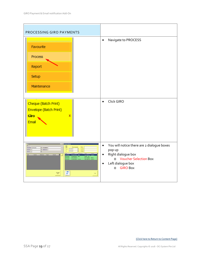<span id="page-18-0"></span>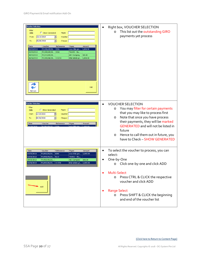| <b>Voucher Selection</b><br>Filter<br>Show Generated<br>Date<br>Payee<br>23/10/2015<br>▾<br>Voucher<br>From<br>06/06/2018<br>$\overline{\phantom{a}}$<br>Cheque<br>To<br><b>Date</b><br>Voucher<br>Refereence<br>Amount<br>Payee<br>02/05/2018<br>PV/001/05/20 0206<br>cnco little pte<br>1,000.00<br>03/05/2018<br>PV/005/05/20 0210<br>TKWSS - Blu<br>30/05/2018<br>PV/010/05/20<br><b>ABC Company</b><br>500.00<br>06/06/2018<br>PV/003/06/20 111230<br>little totlets pt   1,000.00<br>Add<br>Refresh | Right box, VOUCHER SELECTION<br>This list out the outstanding GIRO<br>O<br>payments yet process                                                                                                                                                                                                                                                            |
|-----------------------------------------------------------------------------------------------------------------------------------------------------------------------------------------------------------------------------------------------------------------------------------------------------------------------------------------------------------------------------------------------------------------------------------------------------------------------------------------------------------|------------------------------------------------------------------------------------------------------------------------------------------------------------------------------------------------------------------------------------------------------------------------------------------------------------------------------------------------------------|
| <b>Voucher Selection</b><br>Filter<br>Show Generated<br>Payee<br>Date<br>23/10/2015<br>▼<br>Voucher<br>From<br>06/06/2018<br>Cheque<br>To<br>Voucher<br><b>Date</b><br>Refereence<br>Payee<br>Amount                                                                                                                                                                                                                                                                                                      | <b>VOUCHER SELECTION</b><br>$\bullet$<br>You may filter for certain payments<br>O<br>that you may like to process first<br>Note that once you have process<br>$\circ$<br>their payments, they will be marked<br><b>GENERATED</b> and will not be listed in<br>future<br>Hence to call them out in future, you<br>$\circ$<br>have to Check - SHOW GENERATED |
| <b>Date</b><br>Voucher<br>Refereence<br>Amount<br>Payee<br>02/05/2018<br>PV/001/05/20<br>0206<br>cnco little pte<br>1,000.00<br>03/05/2018<br>PV/005/05/20 0210<br>TKWSS - Blu<br>500.00<br>30/05/2018<br>PV/010/05/20<br><b>ABC Company</b><br>little totlets pt $ 1,000.00$<br>06/06/2018<br>PV/003/06/20 111230                                                                                                                                                                                        | To select the voucher to process, you can<br>$\bullet$<br>select:<br>One-by-One<br>$\bullet$<br>Click one-by-one and click ADD<br>$\circ$                                                                                                                                                                                                                  |
| Add                                                                                                                                                                                                                                                                                                                                                                                                                                                                                                       | Multi-Select<br>Press CTRL & CLICK the respective<br>$\circ$<br>voucher and click ADD<br><b>Range Select</b><br>Press SHIFT & CLICK the beginning<br>$\circ$<br>and end of the voucher list                                                                                                                                                                |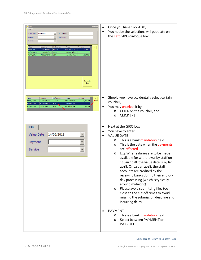| <b>Giro</b><br>$\Box$<br><b>UOB</b><br>14/06/2018<br>$\blacksquare$<br><b>U.Customer</b><br><b>Value Date</b><br>$\overline{\phantom{a}}$<br>Reference<br>Payment<br>$\overline{\phantom{a}}$<br>Service<br>Date<br>Voucher<br>Reference<br>Amount<br>Payee<br>06/06/2018<br>1,000.00<br>PV/003/06/20 111230<br>little totlets pt<br>03/05/2018<br>PV/005/05/20 0210<br>TKWSS - Blu<br>02/05/2018<br>PV/001/05/20 0206<br>cnco little pte<br>1,000.00<br>Generate<br>Giro | Once you have click ADD,<br>$\bullet$<br>You notice the selections will populate on<br>the Left GIRO dialogue box                                                                                                                                                                                                                                                                                                                                                                                                                                                                                                                              |
|---------------------------------------------------------------------------------------------------------------------------------------------------------------------------------------------------------------------------------------------------------------------------------------------------------------------------------------------------------------------------------------------------------------------------------------------------------------------------|------------------------------------------------------------------------------------------------------------------------------------------------------------------------------------------------------------------------------------------------------------------------------------------------------------------------------------------------------------------------------------------------------------------------------------------------------------------------------------------------------------------------------------------------------------------------------------------------------------------------------------------------|
| Date<br>Voucher<br>Reference<br>Payee<br>Amount<br>06/06/2018<br>PV/003/06/20 111230<br>1,000.00<br>little totlets pt<br>03/05/2018<br>PV/005/05/20 0210<br>TKWSS - Blu<br>02/05/2018<br>PV/001/05/20 0206<br>1,000.00<br>cnco little pte                                                                                                                                                                                                                                 | Should you have accidentally select certain<br>$\bullet$<br>voucher,<br>You may unselect it by<br>$\bullet$<br>CLICK on the voucher, and<br>$\circ$<br>CLICK [-]<br>$\circ$                                                                                                                                                                                                                                                                                                                                                                                                                                                                    |
| <b>UOB</b><br>14/06/2018<br>Value Date<br>Payment<br>Service                                                                                                                                                                                                                                                                                                                                                                                                              | Next at the GIRO box,<br>$\bullet$<br>You have to enter<br><b>VALUE DATE</b><br>This is a bank mandatory field<br>$\circ$<br>This is the date when the payments<br>$\circ$<br>are effected.<br>E.g. When salaries are to be made<br>O<br>available for withdrawal by staff on<br>15 Jan 2018, the value date is 14 Jan<br>2018. On 14 Jan 2018, the staff<br>accounts are credited by the<br>receiving banks during their end-of-<br>day processing (which is typically<br>around midnight).<br>Please avoid submitting files too<br>$\circ$<br>close to the cut-off times to avoid<br>missing the submission deadline and<br>incurring delay. |
|                                                                                                                                                                                                                                                                                                                                                                                                                                                                           | <b>PAYMENT</b><br>This is a bank mandatory field<br>$\circ$<br>Select between PAYMENT or<br>$\circ$<br><b>PAYROLL</b>                                                                                                                                                                                                                                                                                                                                                                                                                                                                                                                          |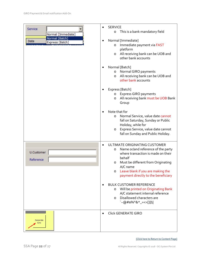| Service                 | <b>SERVICE</b><br>$\bullet$                    |
|-------------------------|------------------------------------------------|
| Normal [Immediate]      | This is a bank mandatory field<br>$\circ$      |
| Normal [Batch]          |                                                |
| Date<br>Express [Batch] | Normal [Immediate]<br>$\bullet$                |
|                         | Immediate payment via FAST<br>$\circ$          |
|                         | platform                                       |
|                         | All receiving bank can be UOB and<br>O         |
|                         | other bank accounts                            |
|                         |                                                |
|                         | Normal [Batch]                                 |
|                         | Normal GIRO payments<br>$\circ$                |
|                         | All receiving bank can be UOB and              |
|                         | O<br>other bank accounts                       |
|                         |                                                |
|                         | Express [Batch]                                |
|                         | <b>Express GIRO payments</b>                   |
|                         | O                                              |
|                         | All receiving bank must be UOB Bank<br>$\circ$ |
|                         | Group                                          |
|                         | Note that for                                  |
|                         | Normal Service, value date cannot              |
|                         | $\circ$<br>fall on Saturday, Sunday or Public  |
|                         |                                                |
|                         | Holiday, while for                             |
|                         | Express Service, value date cannot<br>$\circ$  |
|                         | fall on Sunday and Public Holiday.             |
|                         |                                                |
|                         | ULTIMATE ORIGINATING CUSTOMER<br>$\bullet$     |
|                         | Name or/and reference of the party<br>O        |
| <b>U.Customer</b>       | where transaction is made on their             |
| Reference               | behalf                                         |
|                         | Must be different from Originating<br>$\circ$  |
|                         | A/C name                                       |
|                         | Leave blank if you are making the<br>$\circ$   |
|                         | payment directly to the beneficiary            |
|                         |                                                |
|                         | <b>BULK CUSTOMER REFERENCE</b>                 |
|                         | Will be printed on Originating Bank<br>O       |
|                         | A/C statement internal reference               |
|                         | Disallowed characters are<br>$\circ$           |
|                         | `~@#\$%^&*_=<>[]{}\                            |
|                         |                                                |
|                         |                                                |
|                         | <b>Click GENERATE GIRO</b><br>$\bullet$        |
| Generate                |                                                |
| Giro                    |                                                |
|                         |                                                |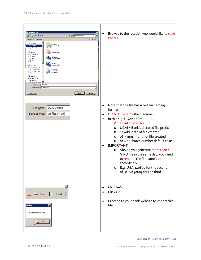| <b>Save GIRO file</b><br>⊠<br>v (2) Search Desktop<br>C Desktop<br>$\vert \mathbf{S} \vert$<br>G<br>$\Xi^ \sim$ 0<br>New folder<br>Organize $\blacktriangledown$<br><b>ED To Favorites</b><br>Libraries<br>Desktop<br><b>System Folder</b><br><b>Recent Places</b><br><b>OCI</b><br><b>E</b> Libraries<br><b>System Folder</b><br><b>E</b> Documents<br><b>El</b> al Music<br>Computer<br><b>System Folder</b><br>$\blacksquare$ Pictures<br><b>Ed Videos</b><br>Network<br><b>System Folder</b><br><b>Eil<sup>Lu</sup></b> Computer<br>$\Box$ Local Disk (C:)<br>Downloads<br>$\Box \triangle$ CD Drive (D:)<br>Shortcut<br>$E \rightleftharpoons$ Local Disk (E:)<br>842 bytes<br><b>Ciu</b> Network<br>EIT <sup>H</sup> ADELINE-PC<br>EIL ADMIN-PC<br>File name: UGAI 140601<br>그<br>$\overline{\phantom{0}}$<br>Save as type:   txt files (*.txt)<br>Save<br>Cancel<br>Hide Folders | Browse to the location you would like to save<br>$\bullet$<br>the file                                                                                                                                                                                                                                                                                                                                                                                                                                                                                                                   |
|-----------------------------------------------------------------------------------------------------------------------------------------------------------------------------------------------------------------------------------------------------------------------------------------------------------------------------------------------------------------------------------------------------------------------------------------------------------------------------------------------------------------------------------------------------------------------------------------------------------------------------------------------------------------------------------------------------------------------------------------------------------------------------------------------------------------------------------------------------------------------------------------|------------------------------------------------------------------------------------------------------------------------------------------------------------------------------------------------------------------------------------------------------------------------------------------------------------------------------------------------------------------------------------------------------------------------------------------------------------------------------------------------------------------------------------------------------------------------------------------|
| File name: UGAI 140601<br>Save as type:   txt files (*.txt)                                                                                                                                                                                                                                                                                                                                                                                                                                                                                                                                                                                                                                                                                                                                                                                                                             | Note that the file has a certain naming<br>$\bullet$<br>format<br>DO NOT rename the filename<br>$\bullet$<br>In this e.g. UGAI140601<br>$\bullet$<br>o UGAI dd mm bb<br>UGAI = Bank's dictated file prefix<br>$\circ$<br>14 = dd, date of file created<br>$\circ$<br>o6 = mm, month of file created<br>$\circ$<br>01 = bb, batch number default to 01<br>O<br><b>IMPORTANT</b><br>Should you generate more than 1<br>O<br>GIRO file in the same day, you need<br>to rename the filename's bb<br>accordingly.<br>E.g. UGAI140602 for the second<br>$\circ$<br>of UGAI140603 for the third |
| 회<br>Save<br>Cancel<br><b>GIRO</b><br>$\vert x \vert$<br>GIRO file generated<br>ОΚ                                                                                                                                                                                                                                                                                                                                                                                                                                                                                                                                                                                                                                                                                                                                                                                                      | Click SAVE<br>$\bullet$<br>Click OK<br>Proceed to your bank website to import this<br>$\bullet$<br>file.                                                                                                                                                                                                                                                                                                                                                                                                                                                                                 |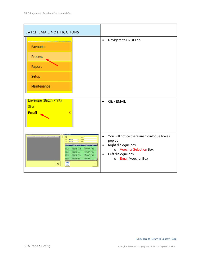<span id="page-23-0"></span>

| <b>BATCH EMAIL NOTIFICATIONS</b>                                                                                                                                                                                                                                                                                                                                                                                                             |                                                                                                                                                                                          |
|----------------------------------------------------------------------------------------------------------------------------------------------------------------------------------------------------------------------------------------------------------------------------------------------------------------------------------------------------------------------------------------------------------------------------------------------|------------------------------------------------------------------------------------------------------------------------------------------------------------------------------------------|
| Favourite<br>Process<br>Report<br>Setup<br>Maintenance                                                                                                                                                                                                                                                                                                                                                                                       | Navigate to PROCESS<br>$\bullet$                                                                                                                                                         |
| Envelope (Batch Print)<br>Giro<br><b>Email</b><br>x                                                                                                                                                                                                                                                                                                                                                                                          | <b>Click EMAIL</b><br>$\bullet$                                                                                                                                                          |
| Fayee<br>002/06/20 111224<br>V/001/06/23 111222<br>500.00<br>26/2012<br><b>MARINE CRAP RD</b><br>\$30.00<br>05/201<br>PV/010/05/20<br><b>ABC Compan</b><br>000/05/25  2542<br>1,500.00<br>05/201<br><b>Sdabe ple hd</b><br>PV/007/05/20 2341<br>1,000.00<br>bea n crox pt.<br>PV:006/05/20 111222<br><b>Sdgh</b> phe Ed<br>508.00<br>N/005/05/20 0210<br>TIONSS - Blu<br><b>BOOK STATE COOL</b><br>ABC Cor<br>₽<br>$_{\rm{Doul}}^{\rm{S4M}}$ | You will notice there are 2 dialogue boxes<br>$\bullet$<br>pop up<br>Right dialogue box<br>$\bullet$<br>o Voucher Selection Box<br>Left dialogue box<br>$\bullet$<br>o Email Voucher Box |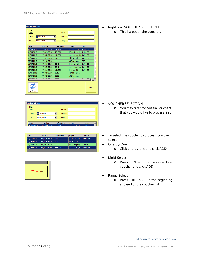| <b>Voucher Selection</b><br>Filter<br>Payee<br>Date<br>23/10/2015<br>$\blacktriangledown$<br>Voucher<br>From<br>06/06/2018<br>$\overline{\phantom{0}}$<br>Cheque<br>To<br>Date<br>Voucher<br>Refereence<br>Amount<br>Payee<br>little totlets pt $ 1,000.00 $<br>06/06/2018<br>PV/003/06/20 111230<br>01/06/2018<br>PV/009/05/20 234300<br>jkfabcefc pte ltd 1,500.00<br>01/06/2018<br>PV/002/06/20 111224<br>bep nysc pte ltd $1,500.00$<br>01/06/2018<br>kklllll pte ltd<br>PV/001/06/20 111222<br>1,500.00<br>30/05/2018<br>500.00<br>PV/010/05/20<br><b>ABC Company</b><br>16/05/2018<br>PV/008/05/20 2342<br>jkfabc pte Itd<br>1,500.00<br>15/05/2018<br>PV/007/05/20 2341<br>bep n cnco pt<br>1,000.00<br>08/05/2018<br>1,500.00<br>PV/006/05/20 111222<br>jkfgh pte ltd<br>03/05/2018<br>PV/005/05/20 0210<br>TKWSS - Blu<br>03/05/2018<br>PV/003/05/20 0208<br><b>ABC Company</b><br>打<br>$\overline{\phantom{a}}$<br>Add<br><b>Refresh</b> | Right box, VOUCHER SELECTION<br>This list out all the vouchers<br>$\Omega$                                                                                                                        |
|----------------------------------------------------------------------------------------------------------------------------------------------------------------------------------------------------------------------------------------------------------------------------------------------------------------------------------------------------------------------------------------------------------------------------------------------------------------------------------------------------------------------------------------------------------------------------------------------------------------------------------------------------------------------------------------------------------------------------------------------------------------------------------------------------------------------------------------------------------------------------------------------------------------------------------------------------|---------------------------------------------------------------------------------------------------------------------------------------------------------------------------------------------------|
| <b>Voucher Selection</b><br>Filter<br>Payee<br>Date<br>23/10/2015<br>Voucher<br>From<br>$\overline{\phantom{a}}$<br>06/06/2018<br>$\overline{\phantom{a}}$<br>Cheque<br>To<br>Date<br>Voucher<br>Refereence<br>Payee<br>Amount<br><b>PV/003/06/20</b><br>111220<br>06/06/20<br>little totlet                                                                                                                                                                                                                                                                                                                                                                                                                                                                                                                                                                                                                                                       | <b>VOUCHER SELECTION</b><br>$\bullet$<br>You may filter for certain vouchers<br>$\circ$<br>that you would like to process first                                                                   |
| Date<br>Voucher<br>Refereence<br>Payee<br>Amount<br>02/05/2018<br>PV/001/05/20 0206<br>1,000.00<br>cnco little pte<br>03/05/2018<br>PV/005/05/20 0210<br>TKWSS - Blu<br>30/05/2018<br>PV/010/05/20<br><b>ABC Company</b><br>500.00<br>little totlets pt $ 1,000.00$<br>06/06/2018<br>PV/003/06/20 111230                                                                                                                                                                                                                                                                                                                                                                                                                                                                                                                                                                                                                                           | To select the voucher to process, you can<br>$\bullet$<br>select:<br>One-by-One<br>$\bullet$<br>Click one-by-one and click ADD<br>$\circ$                                                         |
| Add                                                                                                                                                                                                                                                                                                                                                                                                                                                                                                                                                                                                                                                                                                                                                                                                                                                                                                                                                | Multi-Select<br>$\bullet$<br>Press CTRL & CLICK the respective<br>$\circ$<br>voucher and click ADD<br>Range Select<br>Press SHIFT & CLICK the beginning<br>$\circ$<br>and end of the voucher list |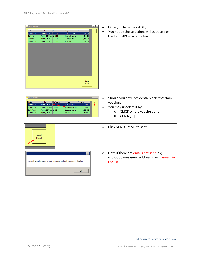| <b>By</b> Email Vouch<br>$\Box \Box \times$<br>Date<br>Voucher<br>Reference<br>Amount<br>Payee<br>1,000.00<br>06/06/2018<br>PV/003/06/20 111230<br>little totlets pt<br>01/06/2018<br>1,500.00<br>jkfabcefc pte Itd<br>PV/009/05/20 234300<br>01/06/2018<br>PV/002/06/20 111224<br>bep nysc pte ltd<br>1,500.00<br>01/06/2018<br>kklllll pte Itd<br>1,500.00<br>PV/001/06/20 111222<br>Send<br>Email | Once you have click ADD,<br>$\bullet$<br>You notice the selections will populate on<br>$\bullet$<br>the Left GIRO dialogue box                                                    |
|------------------------------------------------------------------------------------------------------------------------------------------------------------------------------------------------------------------------------------------------------------------------------------------------------------------------------------------------------------------------------------------------------|-----------------------------------------------------------------------------------------------------------------------------------------------------------------------------------|
| $\overline{E}$<br><b>Email Voucher</b><br>Date<br>Voucher<br>Reference<br>Amount<br>Payee<br>06/06/2018<br>PV/003/06/20 1:1230<br>1,000.00<br>little totlets pt<br>01/06/2018<br>1,500.00<br>PV/009/05/20 234300<br>jkfabcefc pte Itd<br>01/06/2018<br>PV/002/06/20 111224<br>bep nysc pte ltd<br>1,500.00<br>01/06/2018<br>kklllll pte Itd<br>PV/001/06/20 111222<br>1,500.00                       | Should you have accidentally select certain<br>$\bullet$<br>voucher,<br>You may unselect it by<br>$\bullet$<br>CLICK on the voucher, and<br>$\circ$<br>$CLICK$ [ $-$ ]<br>$\circ$ |
| Send<br>Email                                                                                                                                                                                                                                                                                                                                                                                        | Click SEND EMAIL to sent<br>$\bullet$                                                                                                                                             |
| ⊠<br>Not all email is sent. Email not sent will still remain in the list.<br><b>OK</b>                                                                                                                                                                                                                                                                                                               | Note if there are emails not sent, e.g.<br>$\circ$<br>without payee email address, it will remain in<br>the list                                                                  |